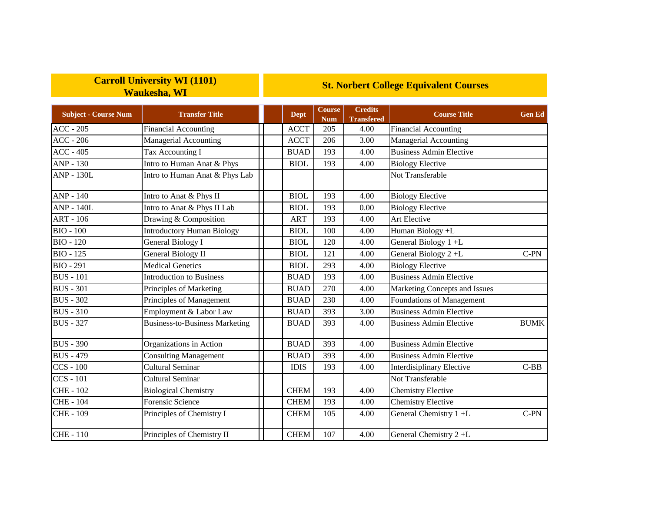## **Carroll University WI (1101) Waukesha, WI**

## **St. Norbert College Equivalent Courses**

| <b>Subject - Course Num</b> | <b>Transfer Title</b>                 | <b>Dept</b> | Course<br><b>Num</b> | <b>Credits</b><br><b>Transfered</b> | <b>Course Title</b>              | <b>Gen Ed</b> |
|-----------------------------|---------------------------------------|-------------|----------------------|-------------------------------------|----------------------------------|---------------|
| $ACC - 205$                 | <b>Financial Accounting</b>           | <b>ACCT</b> | 205                  | 4.00                                | <b>Financial Accounting</b>      |               |
| $ACC - 206$                 | Managerial Accounting                 | <b>ACCT</b> | 206                  | 3.00                                | <b>Managerial Accounting</b>     |               |
| $ACC - 405$                 | Tax Accounting I                      | <b>BUAD</b> | 193                  | 4.00                                | <b>Business Admin Elective</b>   |               |
| $ANP - 130$                 | Intro to Human Anat & Phys            | <b>BIOL</b> | 193                  | 4.00                                | <b>Biology Elective</b>          |               |
| <b>ANP - 130L</b>           | Intro to Human Anat & Phys Lab        |             |                      |                                     | Not Transferable                 |               |
| ANP - 140                   | Intro to Anat & Phys II               | <b>BIOL</b> | 193                  | 4.00                                | <b>Biology Elective</b>          |               |
| <b>ANP - 140L</b>           | Intro to Anat & Phys II Lab           | <b>BIOL</b> | 193                  | 0.00                                | <b>Biology Elective</b>          |               |
| ART - 106                   | Drawing & Composition                 | <b>ART</b>  | 193                  | 4.00                                | <b>Art Elective</b>              |               |
| <b>BIO - 100</b>            | <b>Introductory Human Biology</b>     | <b>BIOL</b> | 100                  | 4.00                                | Human Biology +L                 |               |
| <b>BIO - 120</b>            | General Biology I                     | <b>BIOL</b> | 120                  | 4.00                                | General Biology 1+L              |               |
| <b>BIO - 125</b>            | <b>General Biology II</b>             | <b>BIOL</b> | 121                  | 4.00                                | General Biology 2+L              | $C-PN$        |
| <b>BIO - 291</b>            | <b>Medical Genetics</b>               | <b>BIOL</b> | 293                  | 4.00                                | <b>Biology Elective</b>          |               |
| <b>BUS</b> - 101            | <b>Introduction to Business</b>       | <b>BUAD</b> | 193                  | 4.00                                | <b>Business Admin Elective</b>   |               |
| <b>BUS</b> - 301            | Principles of Marketing               | <b>BUAD</b> | 270                  | 4.00                                | Marketing Concepts and Issues    |               |
| <b>BUS - 302</b>            | Principles of Management              | <b>BUAD</b> | 230                  | 4.00                                | Foundations of Management        |               |
| <b>BUS</b> - 310            | Employment & Labor Law                | <b>BUAD</b> | 393                  | 3.00                                | <b>Business Admin Elective</b>   |               |
| <b>BUS - 327</b>            | <b>Business-to-Business Marketing</b> | <b>BUAD</b> | 393                  | 4.00                                | <b>Business Admin Elective</b>   | <b>BUMK</b>   |
| <b>BUS</b> - 390            | Organizations in Action               | <b>BUAD</b> | 393                  | 4.00                                | <b>Business Admin Elective</b>   |               |
| <b>BUS - 479</b>            | <b>Consulting Management</b>          | <b>BUAD</b> | 393                  | 4.00                                | <b>Business Admin Elective</b>   |               |
| $CCS - 100$                 | <b>Cultural Seminar</b>               | <b>IDIS</b> | 193                  | 4.00                                | <b>Interdisiplinary Elective</b> | $C-BB$        |
| $CCS - 101$                 | <b>Cultural Seminar</b>               |             |                      |                                     | Not Transferable                 |               |
| <b>CHE-102</b>              | <b>Biological Chemistry</b>           | <b>CHEM</b> | 193                  | 4.00                                | Chemistry Elective               |               |
| <b>CHE - 104</b>            | <b>Forensic Science</b>               | <b>CHEM</b> | 193                  | 4.00                                | <b>Chemistry Elective</b>        |               |
| <b>CHE-109</b>              | Principles of Chemistry I             | <b>CHEM</b> | 105                  | 4.00                                | General Chemistry 1 +L           | $C-PN$        |
| <b>CHE-110</b>              | Principles of Chemistry II            | <b>CHEM</b> | 107                  | 4.00                                | General Chemistry 2+L            |               |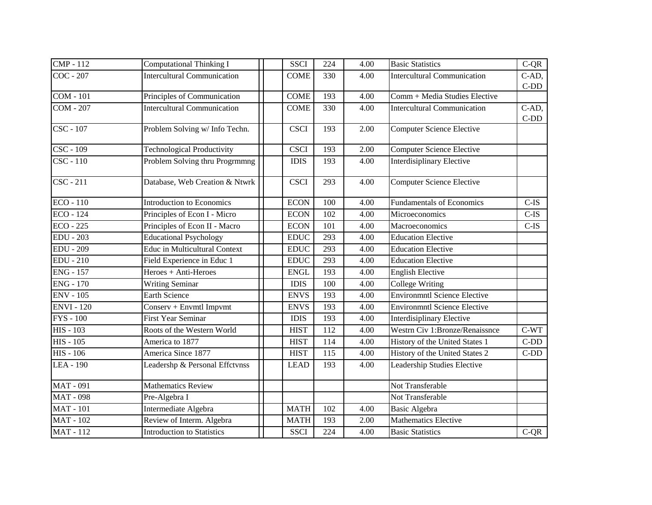| <b>CMP</b> - 112              | <b>Computational Thinking I</b>      | <b>SSCI</b> | 224 | 4.00 | <b>Basic Statistics</b>             | $C-QR$                                                                                   |
|-------------------------------|--------------------------------------|-------------|-----|------|-------------------------------------|------------------------------------------------------------------------------------------|
| COC - 207                     | <b>Intercultural Communication</b>   | <b>COME</b> | 330 | 4.00 | <b>Intercultural Communication</b>  | C-AD,                                                                                    |
|                               |                                      |             |     |      |                                     | $C-DD$<br>C-AD,<br>$C-DD$<br>$C$ -IS<br>$C$ -IS<br>$C$ -IS<br>$C-WT$<br>$C-DD$<br>$C-DD$ |
| <b>COM - 101</b>              | Principles of Communication          | <b>COME</b> | 193 | 4.00 | Comm + Media Studies Elective       |                                                                                          |
| <b>COM - 207</b>              | <b>Intercultural Communication</b>   | <b>COME</b> | 330 | 4.00 | <b>Intercultural Communication</b>  |                                                                                          |
|                               |                                      |             |     |      |                                     |                                                                                          |
| $\overline{\text{CSC}}$ - 107 | Problem Solving w/ Info Techn.       | <b>CSCI</b> | 193 | 2.00 | <b>Computer Science Elective</b>    |                                                                                          |
| CSC - 109                     | <b>Technological Productivity</b>    | <b>CSCI</b> | 193 | 2.00 | <b>Computer Science Elective</b>    |                                                                                          |
| CSC - 110                     | Problem Solving thru Progrmmng       | <b>IDIS</b> | 193 | 4.00 | <b>Interdisiplinary Elective</b>    |                                                                                          |
| $\overline{\text{CSC}}$ - 211 | Database, Web Creation & Ntwrk       | <b>CSCI</b> | 293 | 4.00 | <b>Computer Science Elective</b>    |                                                                                          |
| $ECO - 110$                   | <b>Introduction to Economics</b>     | <b>ECON</b> | 100 | 4.00 | <b>Fundamentals of Economics</b>    |                                                                                          |
| ECO - 124                     | Principles of Econ I - Micro         | <b>ECON</b> | 102 | 4.00 | Microeconomics                      |                                                                                          |
| $ECO - 225$                   | Principles of Econ II - Macro        | <b>ECON</b> | 101 | 4.00 | Macroeconomics                      |                                                                                          |
| <b>EDU - 203</b>              | <b>Educational Psychology</b>        | <b>EDUC</b> | 293 | 4.00 | <b>Education Elective</b>           |                                                                                          |
| <b>EDU</b> - 209              | <b>Educ in Multicultural Context</b> | <b>EDUC</b> | 293 | 4.00 | <b>Education Elective</b>           |                                                                                          |
| <b>EDU - 210</b>              | Field Experience in Educ 1           | <b>EDUC</b> | 293 | 4.00 | <b>Education Elective</b>           |                                                                                          |
| <b>ENG - 157</b>              | Heroes + Anti-Heroes                 | <b>ENGL</b> | 193 | 4.00 | <b>English Elective</b>             |                                                                                          |
| <b>ENG - 170</b>              | Writing Seminar                      | <b>IDIS</b> | 100 | 4.00 | <b>College Writing</b>              |                                                                                          |
| <b>ENV - 105</b>              | <b>Earth Science</b>                 | <b>ENVS</b> | 193 | 4.00 | <b>Environmntl Science Elective</b> |                                                                                          |
| <b>ENVI</b> - 120             | Conserv + Envmtl Impvmt              | <b>ENVS</b> | 193 | 4.00 | <b>Environmntl Science Elective</b> |                                                                                          |
| <b>FYS</b> - 100              | <b>First Year Seminar</b>            | <b>IDIS</b> | 193 | 4.00 | <b>Interdisiplinary Elective</b>    |                                                                                          |
| $HIS - 103$                   | Roots of the Western World           | <b>HIST</b> | 112 | 4.00 | Westrn Civ 1:Bronze/Renaissnce      |                                                                                          |
| HIS - 105                     | America to 1877                      | <b>HIST</b> | 114 | 4.00 | History of the United States 1      |                                                                                          |
| <b>HIS - 106</b>              | America Since 1877                   | <b>HIST</b> | 115 | 4.00 | History of the United States 2      |                                                                                          |
| LEA - 190                     | Leadershp & Personal Effctvnss       | <b>LEAD</b> | 193 | 4.00 | Leadership Studies Elective         |                                                                                          |
| <b>MAT-091</b>                | Mathematics Review                   |             |     |      | Not Transferable                    |                                                                                          |
| <b>MAT - 098</b>              | Pre-Algebra I                        |             |     |      | Not Transferable                    |                                                                                          |
| <b>MAT-101</b>                | Intermediate Algebra                 | <b>MATH</b> | 102 | 4.00 | <b>Basic Algebra</b>                |                                                                                          |
| <b>MAT-102</b>                | Review of Interm. Algebra            | <b>MATH</b> | 193 | 2.00 | <b>Mathematics Elective</b>         |                                                                                          |
| <b>MAT</b> - 112              | <b>Introduction to Statistics</b>    | <b>SSCI</b> | 224 | 4.00 | <b>Basic Statistics</b>             | $C-QR$                                                                                   |